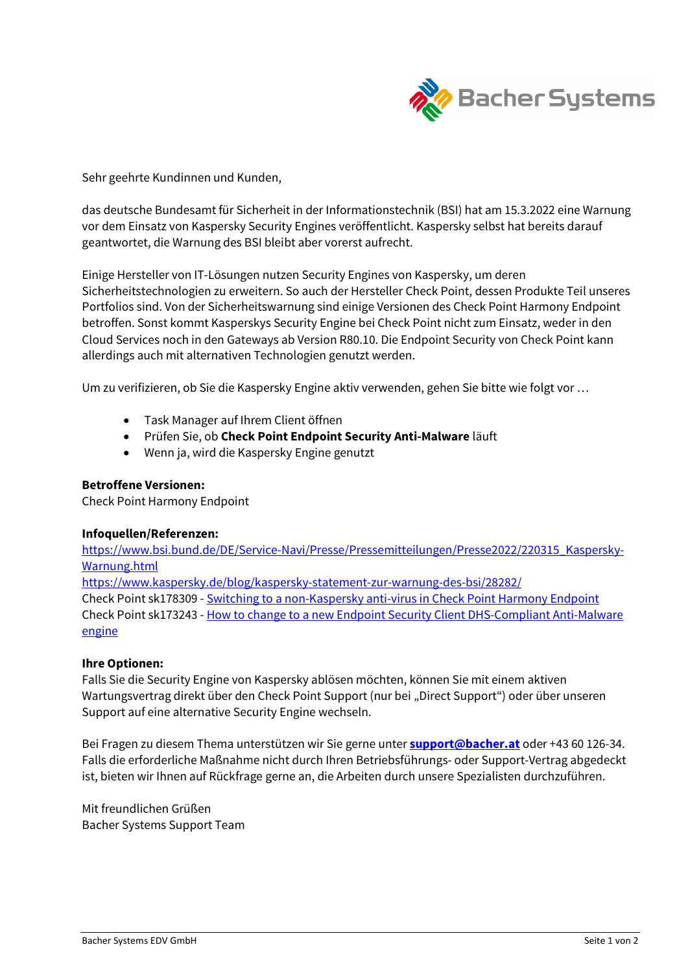

Sehr geehrte Kundinnen und Kunden,

das deutsche Bundesamt für Sicherheit in der Informationstechnik (BSI) hat am 15.3.2022 eine Warnung vor dem Einsatz von Kaspersky Security Engines veröffentlicht. Kaspersky selbst hat bereits darauf geantwortet, die Warnung des BSI bleibt aber vorerst aufrecht.

Einige Hersteller von IT-Lösungen nutzen Security Engines von Kaspersky, um deren Sicherheitstechnologien zu erweitern. So auch der Hersteller Check Point, dessen Produkte Teil unseres Portfolios sind. Von der Sicherheitswarnung sind einige Versionen des Check Point Harmony Endpoint betroffen. Sonst kommt Kasperskys Security Engine bei Check Point nicht zum Einsatz, weder in den Cloud Services noch in den Gateways ab Version R80.10. Die Endpoint Security von Check Point kann allerdings auch mit alternativen Technologien genutzt werden.

Um zu verifizieren, ob Sie die Kaspersky Engine aktiv verwenden, gehen Sie bitte wie folgt vor …

- Task Manager auf Ihrem Client öffnen
- **•** Prüfen Sie, ob Check Point Endpoint Security Anti-Malware läuft
- Wenn ja, wird die Kaspersky Engine genutzt

# Betroffene Versionen:

Check Point Harmony Endpoint

## Infoquellen/Referenzen:

https://www.bsi.bund.de/DE/Service-Navi/Presse/Pressemitteilungen/Presse2022/220315\_Kaspersky-Warnung.html

https://www.kaspersky.de/blog/kaspersky-statement-zur-warnung-des-bsi/28282/ Check Point sk178309 - Switching to a non-Kaspersky anti-virus in Check Point Harmony Endpoint Check Point sk173243 - How to change to a new Endpoint Security Client DHS-Compliant Anti-Malware engine

## Ihre Optionen:

Falls Sie die Security Engine von Kaspersky ablösen möchten, können Sie mit einem aktiven Wartungsvertrag direkt über den Check Point Support (nur bei "Direct Support") oder über unseren Support auf eine alternative Security Engine wechseln.

Bei Fragen zu diesem Thema unterstützen wir Sie gerne unter **support@bacher.at** oder +43 60 126-34. Falls die erforderliche Maßnahme nicht durch Ihren Betriebsführungs- oder Support-Vertrag abgedeckt ist, bieten wir Ihnen auf Rückfrage gerne an, die Arbeiten durch unsere Spezialisten durchzuführen.

Mit freundlichen Grüßen Bacher Systems Support Team